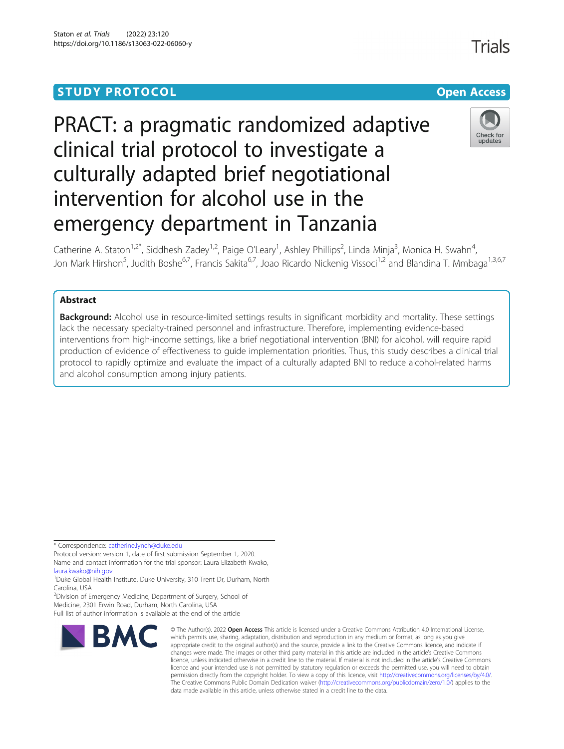# **STUDY PROTOCOL CONSUMING THE RESERVE ACCESS**

# PRACT: a pragmatic randomized adaptive clinical trial protocol to investigate a culturally adapted brief negotiational intervention for alcohol use in the emergency department in Tanzania



Catherine A. Staton<sup>1,2\*</sup>, Siddhesh Zadey<sup>1,2</sup>, Paige O'Leary<sup>1</sup>, Ashley Phillips<sup>2</sup>, Linda Minja<sup>3</sup>, Monica H. Swahn<sup>4</sup> , Jon Mark Hirshon<sup>5</sup>, Judith Boshe<sup>6,7</sup>, Francis Sakita<sup>6,7</sup>, Joao Ricardo Nickenig Vissoci<sup>1,2</sup> and Blandina T. Mmbaga<sup>1,3,6,7</sup>

# Abstract

**Background:** Alcohol use in resource-limited settings results in significant morbidity and mortality. These settings lack the necessary specialty-trained personnel and infrastructure. Therefore, implementing evidence-based interventions from high-income settings, like a brief negotiational intervention (BNI) for alcohol, will require rapid production of evidence of effectiveness to guide implementation priorities. Thus, this study describes a clinical trial protocol to rapidly optimize and evaluate the impact of a culturally adapted BNI to reduce alcohol-related harms and alcohol consumption among injury patients.

\* Correspondence: [catherine.lynch@duke.edu](mailto:catherine.lynch@duke.edu)

Protocol version: version 1, date of first submission September 1, 2020. Name and contact information for the trial sponsor: Laura Elizabeth Kwako, [laura.kwako@nih.gov](mailto:laura.kwako@nih.gov)

<sup>1</sup>Duke Global Health Institute, Duke University, 310 Trent Dr, Durham, North Carolina, USA

<sup>2</sup>Division of Emergency Medicine, Department of Surgery, School of

Medicine, 2301 Erwin Road, Durham, North Carolina, USA Full list of author information is available at the end of the article



<sup>©</sup> The Author(s), 2022 **Open Access** This article is licensed under a Creative Commons Attribution 4.0 International License, which permits use, sharing, adaptation, distribution and reproduction in any medium or format, as long as you give appropriate credit to the original author(s) and the source, provide a link to the Creative Commons licence, and indicate if changes were made. The images or other third party material in this article are included in the article's Creative Commons licence, unless indicated otherwise in a credit line to the material. If material is not included in the article's Creative Commons licence and your intended use is not permitted by statutory regulation or exceeds the permitted use, you will need to obtain permission directly from the copyright holder. To view a copy of this licence, visit [http://creativecommons.org/licenses/by/4.0/.](http://creativecommons.org/licenses/by/4.0/) The Creative Commons Public Domain Dedication waiver [\(http://creativecommons.org/publicdomain/zero/1.0/](http://creativecommons.org/publicdomain/zero/1.0/)) applies to the data made available in this article, unless otherwise stated in a credit line to the data.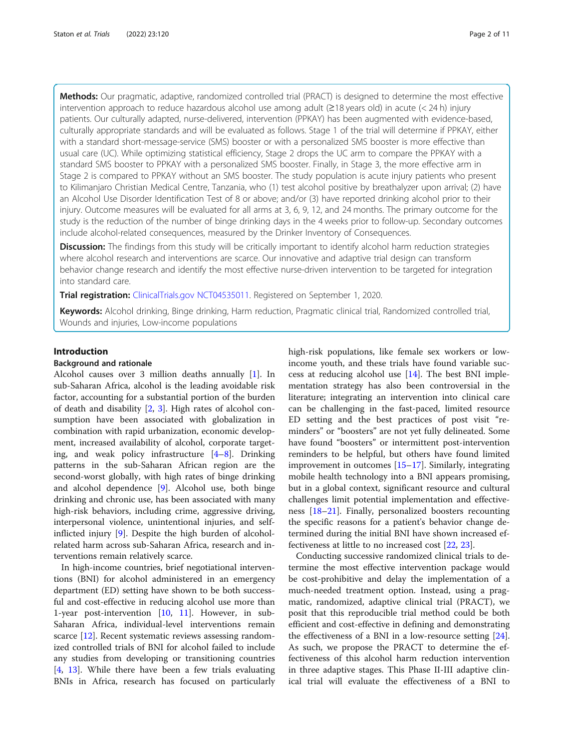Methods: Our pragmatic, adaptive, randomized controlled trial (PRACT) is designed to determine the most effective intervention approach to reduce hazardous alcohol use among adult (≥18 years old) in acute (< 24 h) injury patients. Our culturally adapted, nurse-delivered, intervention (PPKAY) has been augmented with evidence-based, culturally appropriate standards and will be evaluated as follows. Stage 1 of the trial will determine if PPKAY, either with a standard short-message-service (SMS) booster or with a personalized SMS booster is more effective than usual care (UC). While optimizing statistical efficiency, Stage 2 drops the UC arm to compare the PPKAY with a standard SMS booster to PPKAY with a personalized SMS booster. Finally, in Stage 3, the more effective arm in Stage 2 is compared to PPKAY without an SMS booster. The study population is acute injury patients who present to Kilimanjaro Christian Medical Centre, Tanzania, who (1) test alcohol positive by breathalyzer upon arrival; (2) have an Alcohol Use Disorder Identification Test of 8 or above; and/or (3) have reported drinking alcohol prior to their injury. Outcome measures will be evaluated for all arms at 3, 6, 9, 12, and 24 months. The primary outcome for the study is the reduction of the number of binge drinking days in the 4 weeks prior to follow-up. Secondary outcomes include alcohol-related consequences, measured by the Drinker Inventory of Consequences.

Discussion: The findings from this study will be critically important to identify alcohol harm reduction strategies where alcohol research and interventions are scarce. Our innovative and adaptive trial design can transform behavior change research and identify the most effective nurse-driven intervention to be targeted for integration into standard care.

Trial registration: [ClinicalTrials.gov](http://clinicaltrials.gov) [NCT04535011](https://clinicaltrials.gov/ct2/show/NCT04535011). Registered on September 1, 2020.

Keywords: Alcohol drinking, Binge drinking, Harm reduction, Pragmatic clinical trial, Randomized controlled trial, Wounds and injuries, Low-income populations

## Introduction

#### Background and rationale

Alcohol causes over 3 million deaths annually [\[1](#page-9-0)]. In sub-Saharan Africa, alcohol is the leading avoidable risk factor, accounting for a substantial portion of the burden of death and disability [\[2](#page-9-0), [3\]](#page-9-0). High rates of alcohol consumption have been associated with globalization in combination with rapid urbanization, economic development, increased availability of alcohol, corporate targeting, and weak policy infrastructure [[4](#page-9-0)–[8\]](#page-9-0). Drinking patterns in the sub-Saharan African region are the second-worst globally, with high rates of binge drinking and alcohol dependence [[9](#page-9-0)]. Alcohol use, both binge drinking and chronic use, has been associated with many high-risk behaviors, including crime, aggressive driving, interpersonal violence, unintentional injuries, and selfinflicted injury [[9\]](#page-9-0). Despite the high burden of alcoholrelated harm across sub-Saharan Africa, research and interventions remain relatively scarce.

In high-income countries, brief negotiational interventions (BNI) for alcohol administered in an emergency department (ED) setting have shown to be both successful and cost-effective in reducing alcohol use more than 1-year post-intervention [\[10](#page-9-0), [11](#page-9-0)]. However, in sub-Saharan Africa, individual-level interventions remain scarce [[12\]](#page-9-0). Recent systematic reviews assessing randomized controlled trials of BNI for alcohol failed to include any studies from developing or transitioning countries [[4,](#page-9-0) [13\]](#page-9-0). While there have been a few trials evaluating BNIs in Africa, research has focused on particularly high-risk populations, like female sex workers or lowincome youth, and these trials have found variable success at reducing alcohol use [\[14\]](#page-9-0). The best BNI implementation strategy has also been controversial in the literature; integrating an intervention into clinical care can be challenging in the fast-paced, limited resource ED setting and the best practices of post visit "reminders" or "boosters" are not yet fully delineated. Some have found "boosters" or intermittent post-intervention reminders to be helpful, but others have found limited improvement in outcomes [\[15](#page-9-0)–[17\]](#page-9-0). Similarly, integrating mobile health technology into a BNI appears promising, but in a global context, significant resource and cultural challenges limit potential implementation and effectiveness [\[18](#page-9-0)–[21\]](#page-9-0). Finally, personalized boosters recounting the specific reasons for a patient's behavior change determined during the initial BNI have shown increased effectiveness at little to no increased cost [[22](#page-9-0), [23](#page-9-0)].

Conducting successive randomized clinical trials to determine the most effective intervention package would be cost-prohibitive and delay the implementation of a much-needed treatment option. Instead, using a pragmatic, randomized, adaptive clinical trial (PRACT), we posit that this reproducible trial method could be both efficient and cost-effective in defining and demonstrating the effectiveness of a BNI in a low-resource setting [\[24](#page-9-0)]. As such, we propose the PRACT to determine the effectiveness of this alcohol harm reduction intervention in three adaptive stages. This Phase II-III adaptive clinical trial will evaluate the effectiveness of a BNI to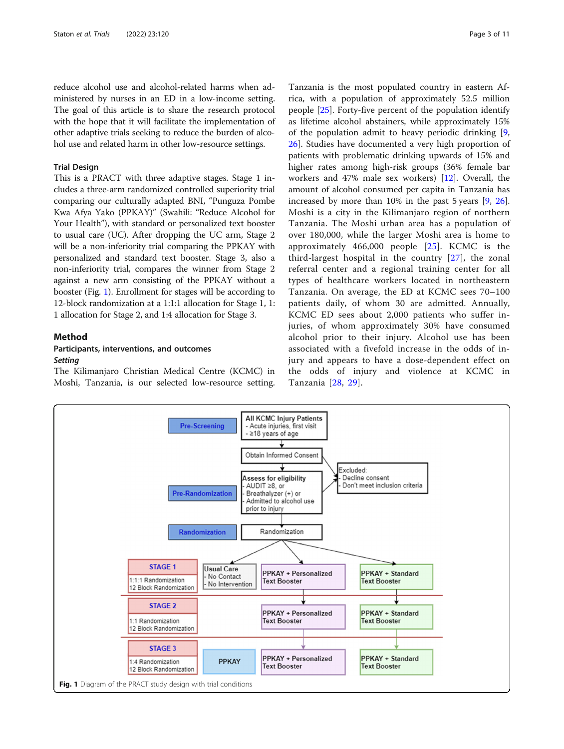reduce alcohol use and alcohol-related harms when administered by nurses in an ED in a low-income setting. The goal of this article is to share the research protocol with the hope that it will facilitate the implementation of other adaptive trials seeking to reduce the burden of alcohol use and related harm in other low-resource settings.

### Trial Design

This is a PRACT with three adaptive stages. Stage 1 includes a three-arm randomized controlled superiority trial comparing our culturally adapted BNI, "Punguza Pombe Kwa Afya Yako (PPKAY)" (Swahili: "Reduce Alcohol for Your Health"), with standard or personalized text booster to usual care (UC). After dropping the UC arm, Stage 2 will be a non-inferiority trial comparing the PPKAY with personalized and standard text booster. Stage 3, also a non-inferiority trial, compares the winner from Stage 2 against a new arm consisting of the PPKAY without a booster (Fig. 1). Enrollment for stages will be according to 12-block randomization at a 1:1:1 allocation for Stage 1, 1: 1 allocation for Stage 2, and 1:4 allocation for Stage 3.

#### Method

# Participants, interventions, and outcomes **Setting**

The Kilimanjaro Christian Medical Centre (KCMC) in Moshi, Tanzania, is our selected low-resource setting.

Tanzania is the most populated country in eastern Africa, with a population of approximately 52.5 million people [\[25\]](#page-9-0). Forty-five percent of the population identify as lifetime alcohol abstainers, while approximately 15% of the population admit to heavy periodic drinking [\[9](#page-9-0), [26\]](#page-9-0). Studies have documented a very high proportion of patients with problematic drinking upwards of 15% and higher rates among high-risk groups (36% female bar workers and 47% male sex workers) [\[12\]](#page-9-0). Overall, the amount of alcohol consumed per capita in Tanzania has increased by more than 10% in the past 5 years [\[9](#page-9-0), [26](#page-9-0)]. Moshi is a city in the Kilimanjaro region of northern Tanzania. The Moshi urban area has a population of over 180,000, while the larger Moshi area is home to approximately  $466,000$  people  $[25]$  $[25]$ . KCMC is the third-largest hospital in the country [[27](#page-9-0)], the zonal referral center and a regional training center for all types of healthcare workers located in northeastern Tanzania. On average, the ED at KCMC sees 70–100 patients daily, of whom 30 are admitted. Annually, KCMC ED sees about 2,000 patients who suffer injuries, of whom approximately 30% have consumed alcohol prior to their injury. Alcohol use has been associated with a fivefold increase in the odds of injury and appears to have a dose-dependent effect on the odds of injury and violence at KCMC in Tanzania [[28](#page-9-0), [29\]](#page-9-0).

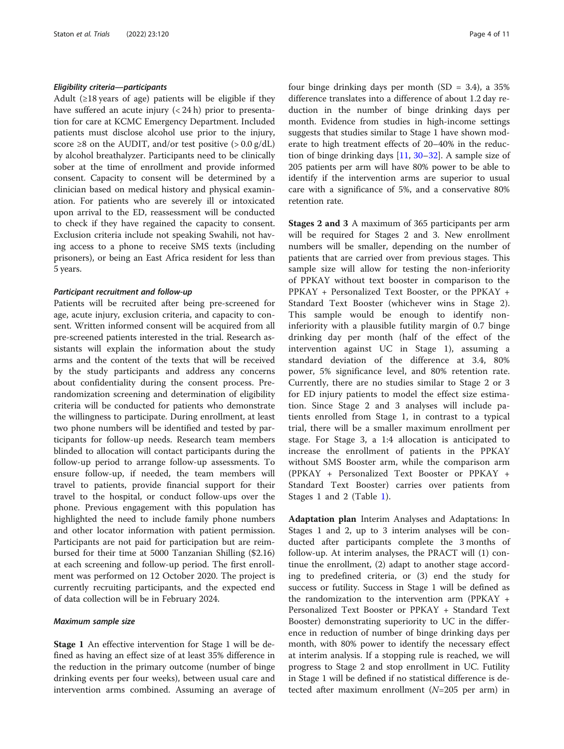### Eligibility criteria—participants

Adult  $(\geq 18$  years of age) patients will be eligible if they have suffered an acute injury  $(< 24 h)$  prior to presentation for care at KCMC Emergency Department. Included patients must disclose alcohol use prior to the injury, score  $\geq$ 8 on the AUDIT, and/or test positive ( $>$  0.0 g/dL) by alcohol breathalyzer. Participants need to be clinically sober at the time of enrollment and provide informed consent. Capacity to consent will be determined by a clinician based on medical history and physical examination. For patients who are severely ill or intoxicated upon arrival to the ED, reassessment will be conducted to check if they have regained the capacity to consent. Exclusion criteria include not speaking Swahili, not having access to a phone to receive SMS texts (including prisoners), or being an East Africa resident for less than 5 years.

#### Participant recruitment and follow-up

Patients will be recruited after being pre-screened for age, acute injury, exclusion criteria, and capacity to consent. Written informed consent will be acquired from all pre-screened patients interested in the trial. Research assistants will explain the information about the study arms and the content of the texts that will be received by the study participants and address any concerns about confidentiality during the consent process. Prerandomization screening and determination of eligibility criteria will be conducted for patients who demonstrate the willingness to participate. During enrollment, at least two phone numbers will be identified and tested by participants for follow-up needs. Research team members blinded to allocation will contact participants during the follow-up period to arrange follow-up assessments. To ensure follow-up, if needed, the team members will travel to patients, provide financial support for their travel to the hospital, or conduct follow-ups over the phone. Previous engagement with this population has highlighted the need to include family phone numbers and other locator information with patient permission. Participants are not paid for participation but are reimbursed for their time at 5000 Tanzanian Shilling (\$2.16) at each screening and follow-up period. The first enrollment was performed on 12 October 2020. The project is currently recruiting participants, and the expected end of data collection will be in February 2024.

#### Maximum sample size

Stage 1 An effective intervention for Stage 1 will be defined as having an effect size of at least 35% difference in the reduction in the primary outcome (number of binge drinking events per four weeks), between usual care and intervention arms combined. Assuming an average of four binge drinking days per month  $(SD = 3.4)$ , a 35% difference translates into a difference of about 1.2 day reduction in the number of binge drinking days per month. Evidence from studies in high-income settings suggests that studies similar to Stage 1 have shown moderate to high treatment effects of 20–40% in the reduction of binge drinking days [[11,](#page-9-0) [30](#page-10-0)–[32\]](#page-10-0). A sample size of 205 patients per arm will have 80% power to be able to identify if the intervention arms are superior to usual care with a significance of 5%, and a conservative 80% retention rate.

Stages 2 and 3 A maximum of 365 participants per arm will be required for Stages 2 and 3. New enrollment numbers will be smaller, depending on the number of patients that are carried over from previous stages. This sample size will allow for testing the non-inferiority of PPKAY without text booster in comparison to the PPKAY + Personalized Text Booster, or the PPKAY + Standard Text Booster (whichever wins in Stage 2). This sample would be enough to identify noninferiority with a plausible futility margin of 0.7 binge drinking day per month (half of the effect of the intervention against UC in Stage 1), assuming a standard deviation of the difference at 3.4, 80% power, 5% significance level, and 80% retention rate. Currently, there are no studies similar to Stage 2 or 3 for ED injury patients to model the effect size estimation. Since Stage 2 and 3 analyses will include patients enrolled from Stage 1, in contrast to a typical trial, there will be a smaller maximum enrollment per stage. For Stage 3, a 1:4 allocation is anticipated to increase the enrollment of patients in the PPKAY without SMS Booster arm, while the comparison arm (PPKAY + Personalized Text Booster or PPKAY + Standard Text Booster) carries over patients from Stages 1 and 2 (Table [1](#page-4-0)).

Adaptation plan Interim Analyses and Adaptations: In Stages 1 and 2, up to 3 interim analyses will be conducted after participants complete the 3 months of follow-up. At interim analyses, the PRACT will (1) continue the enrollment, (2) adapt to another stage according to predefined criteria, or (3) end the study for success or futility. Success in Stage 1 will be defined as the randomization to the intervention arm (PPKAY + Personalized Text Booster or PPKAY + Standard Text Booster) demonstrating superiority to UC in the difference in reduction of number of binge drinking days per month, with 80% power to identify the necessary effect at interim analysis. If a stopping rule is reached, we will progress to Stage 2 and stop enrollment in UC. Futility in Stage 1 will be defined if no statistical difference is detected after maximum enrollment  $(N=205$  per arm) in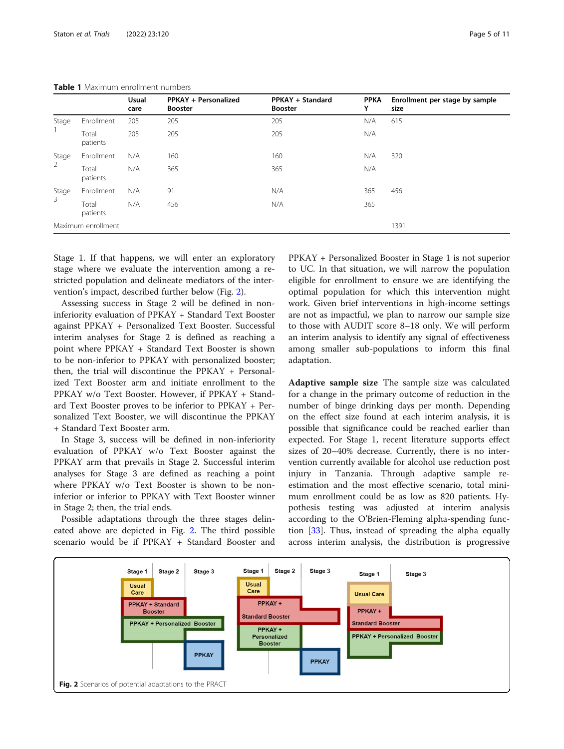|                         |                   | <b>Usual</b><br>care | PPKAY + Personalized<br><b>Booster</b> | PPKAY + Standard<br><b>Booster</b> | <b>PPKA</b><br>Y | Enrollment per stage by sample<br>size |
|-------------------------|-------------------|----------------------|----------------------------------------|------------------------------------|------------------|----------------------------------------|
| Stage                   | Enrollment        | 205                  | 205                                    | 205                                | N/A              | 615                                    |
|                         | Total<br>patients | 205                  | 205                                    | 205                                | N/A              |                                        |
| Stage<br>$\overline{2}$ | Enrollment        | N/A                  | 160                                    | 160                                | N/A              | 320                                    |
|                         | Total<br>patients | N/A                  | 365                                    | 365                                | N/A              |                                        |
| Stage<br>3              | Enrollment        | N/A                  | 91                                     | N/A                                | 365              | 456                                    |
|                         | Total<br>patients | N/A                  | 456                                    | N/A                                | 365              |                                        |
| Maximum enrollment      |                   |                      |                                        |                                    |                  | 1391                                   |

<span id="page-4-0"></span>Table 1 Maximum enrollment numbers

Stage 1. If that happens, we will enter an exploratory stage where we evaluate the intervention among a restricted population and delineate mediators of the intervention's impact, described further below (Fig. 2).

Assessing success in Stage 2 will be defined in noninferiority evaluation of PPKAY + Standard Text Booster against PPKAY + Personalized Text Booster. Successful interim analyses for Stage 2 is defined as reaching a point where PPKAY + Standard Text Booster is shown to be non-inferior to PPKAY with personalized booster; then, the trial will discontinue the PPKAY + Personalized Text Booster arm and initiate enrollment to the PPKAY w/o Text Booster. However, if PPKAY + Standard Text Booster proves to be inferior to PPKAY + Personalized Text Booster, we will discontinue the PPKAY + Standard Text Booster arm.

In Stage 3, success will be defined in non-inferiority evaluation of PPKAY w/o Text Booster against the PPKAY arm that prevails in Stage 2. Successful interim analyses for Stage 3 are defined as reaching a point where PPKAY w/o Text Booster is shown to be noninferior or inferior to PPKAY with Text Booster winner in Stage 2; then, the trial ends.

Possible adaptations through the three stages delineated above are depicted in Fig. 2. The third possible scenario would be if PPKAY + Standard Booster and PPKAY + Personalized Booster in Stage 1 is not superior to UC. In that situation, we will narrow the population eligible for enrollment to ensure we are identifying the optimal population for which this intervention might work. Given brief interventions in high-income settings are not as impactful, we plan to narrow our sample size to those with AUDIT score 8–18 only. We will perform an interim analysis to identify any signal of effectiveness among smaller sub-populations to inform this final adaptation.

Adaptive sample size The sample size was calculated for a change in the primary outcome of reduction in the number of binge drinking days per month. Depending on the effect size found at each interim analysis, it is possible that significance could be reached earlier than expected. For Stage 1, recent literature supports effect sizes of 20–40% decrease. Currently, there is no intervention currently available for alcohol use reduction post injury in Tanzania. Through adaptive sample reestimation and the most effective scenario, total minimum enrollment could be as low as 820 patients. Hypothesis testing was adjusted at interim analysis according to the O'Brien-Fleming alpha-spending function [[33\]](#page-10-0). Thus, instead of spreading the alpha equally across interim analysis, the distribution is progressive

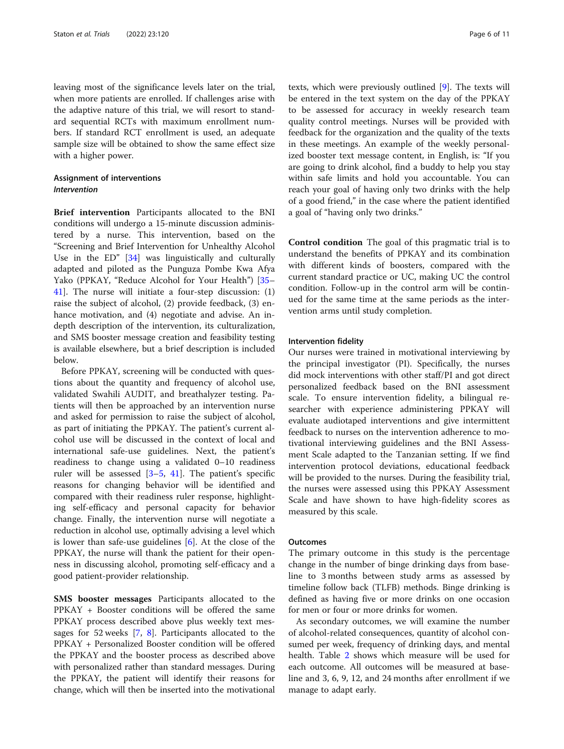leaving most of the significance levels later on the trial, when more patients are enrolled. If challenges arise with the adaptive nature of this trial, we will resort to standard sequential RCTs with maximum enrollment numbers. If standard RCT enrollment is used, an adequate sample size will be obtained to show the same effect size with a higher power.

# Assignment of interventions Intervention

Brief intervention Participants allocated to the BNI conditions will undergo a 15-minute discussion administered by a nurse. This intervention, based on the "Screening and Brief Intervention for Unhealthy Alcohol Use in the ED" [\[34](#page-10-0)] was linguistically and culturally adapted and piloted as the Punguza Pombe Kwa Afya Yako (PPKAY, "Reduce Alcohol for Your Health") [[35](#page-10-0)– [41\]](#page-10-0). The nurse will initiate a four-step discussion: (1) raise the subject of alcohol, (2) provide feedback, (3) enhance motivation, and (4) negotiate and advise. An indepth description of the intervention, its culturalization, and SMS booster message creation and feasibility testing is available elsewhere, but a brief description is included below.

Before PPKAY, screening will be conducted with questions about the quantity and frequency of alcohol use, validated Swahili AUDIT, and breathalyzer testing. Patients will then be approached by an intervention nurse and asked for permission to raise the subject of alcohol, as part of initiating the PPKAY. The patient's current alcohol use will be discussed in the context of local and international safe-use guidelines. Next, the patient's readiness to change using a validated 0–10 readiness ruler will be assessed  $[3-5, 41]$  $[3-5, 41]$  $[3-5, 41]$  $[3-5, 41]$  $[3-5, 41]$ . The patient's specific reasons for changing behavior will be identified and compared with their readiness ruler response, highlighting self-efficacy and personal capacity for behavior change. Finally, the intervention nurse will negotiate a reduction in alcohol use, optimally advising a level which is lower than safe-use guidelines [\[6](#page-9-0)]. At the close of the PPKAY, the nurse will thank the patient for their openness in discussing alcohol, promoting self-efficacy and a good patient-provider relationship.

SMS booster messages Participants allocated to the PPKAY + Booster conditions will be offered the same PPKAY process described above plus weekly text messages for 52 weeks  $[7, 8]$  $[7, 8]$  $[7, 8]$  $[7, 8]$ . Participants allocated to the PPKAY + Personalized Booster condition will be offered the PPKAY and the booster process as described above with personalized rather than standard messages. During the PPKAY, the patient will identify their reasons for change, which will then be inserted into the motivational texts, which were previously outlined [\[9\]](#page-9-0). The texts will be entered in the text system on the day of the PPKAY to be assessed for accuracy in weekly research team quality control meetings. Nurses will be provided with feedback for the organization and the quality of the texts in these meetings. An example of the weekly personalized booster text message content, in English, is: "If you are going to drink alcohol, find a buddy to help you stay within safe limits and hold you accountable. You can reach your goal of having only two drinks with the help of a good friend," in the case where the patient identified a goal of "having only two drinks."

Control condition The goal of this pragmatic trial is to understand the benefits of PPKAY and its combination with different kinds of boosters, compared with the current standard practice or UC, making UC the control condition. Follow-up in the control arm will be continued for the same time at the same periods as the intervention arms until study completion.

#### Intervention fidelity

Our nurses were trained in motivational interviewing by the principal investigator (PI). Specifically, the nurses did mock interventions with other staff/PI and got direct personalized feedback based on the BNI assessment scale. To ensure intervention fidelity, a bilingual researcher with experience administering PPKAY will evaluate audiotaped interventions and give intermittent feedback to nurses on the intervention adherence to motivational interviewing guidelines and the BNI Assessment Scale adapted to the Tanzanian setting. If we find intervention protocol deviations, educational feedback will be provided to the nurses. During the feasibility trial, the nurses were assessed using this PPKAY Assessment Scale and have shown to have high-fidelity scores as measured by this scale.

# **Outcomes**

The primary outcome in this study is the percentage change in the number of binge drinking days from baseline to 3 months between study arms as assessed by timeline follow back (TLFB) methods. Binge drinking is defined as having five or more drinks on one occasion for men or four or more drinks for women.

As secondary outcomes, we will examine the number of alcohol-related consequences, quantity of alcohol consumed per week, frequency of drinking days, and mental health. Table [2](#page-6-0) shows which measure will be used for each outcome. All outcomes will be measured at baseline and 3, 6, 9, 12, and 24 months after enrollment if we manage to adapt early.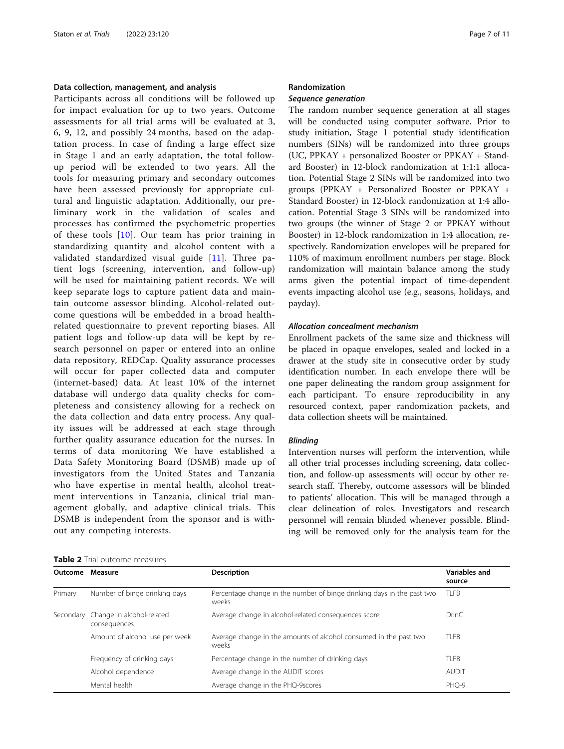# <span id="page-6-0"></span>Data collection, management, and analysis

Participants across all conditions will be followed up for impact evaluation for up to two years. Outcome assessments for all trial arms will be evaluated at 3, 6, 9, 12, and possibly 24 months, based on the adaptation process. In case of finding a large effect size in Stage 1 and an early adaptation, the total followup period will be extended to two years. All the tools for measuring primary and secondary outcomes have been assessed previously for appropriate cultural and linguistic adaptation. Additionally, our preliminary work in the validation of scales and processes has confirmed the psychometric properties of these tools [\[10](#page-9-0)]. Our team has prior training in standardizing quantity and alcohol content with a validated standardized visual guide [[11\]](#page-9-0). Three patient logs (screening, intervention, and follow-up) will be used for maintaining patient records. We will keep separate logs to capture patient data and maintain outcome assessor blinding. Alcohol-related outcome questions will be embedded in a broad healthrelated questionnaire to prevent reporting biases. All patient logs and follow-up data will be kept by research personnel on paper or entered into an online data repository, REDCap. Quality assurance processes will occur for paper collected data and computer (internet-based) data. At least 10% of the internet database will undergo data quality checks for completeness and consistency allowing for a recheck on the data collection and data entry process. Any quality issues will be addressed at each stage through further quality assurance education for the nurses. In terms of data monitoring We have established a Data Safety Monitoring Board (DSMB) made up of investigators from the United States and Tanzania who have expertise in mental health, alcohol treatment interventions in Tanzania, clinical trial management globally, and adaptive clinical trials. This DSMB is independent from the sponsor and is without any competing interests.

| Page 7 of 11 |  |  |
|--------------|--|--|
|              |  |  |

#### Randomization

#### Sequence generation

The random number sequence generation at all stages will be conducted using computer software. Prior to study initiation, Stage 1 potential study identification numbers (SINs) will be randomized into three groups (UC, PPKAY + personalized Booster or PPKAY + Standard Booster) in 12-block randomization at 1:1:1 allocation. Potential Stage 2 SINs will be randomized into two groups (PPKAY + Personalized Booster or PPKAY + Standard Booster) in 12-block randomization at 1:4 allocation. Potential Stage 3 SINs will be randomized into two groups (the winner of Stage 2 or PPKAY without Booster) in 12-block randomization in 1:4 allocation, respectively. Randomization envelopes will be prepared for 110% of maximum enrollment numbers per stage. Block randomization will maintain balance among the study arms given the potential impact of time-dependent events impacting alcohol use (e.g., seasons, holidays, and payday).

#### Allocation concealment mechanism

Enrollment packets of the same size and thickness will be placed in opaque envelopes, sealed and locked in a drawer at the study site in consecutive order by study identification number. In each envelope there will be one paper delineating the random group assignment for each participant. To ensure reproducibility in any resourced context, paper randomization packets, and data collection sheets will be maintained.

#### Blinding

Intervention nurses will perform the intervention, while all other trial processes including screening, data collection, and follow-up assessments will occur by other research staff. Thereby, outcome assessors will be blinded to patients' allocation. This will be managed through a clear delineation of roles. Investigators and research personnel will remain blinded whenever possible. Blinding will be removed only for the analysis team for the

| Outcome | Measure                                             | <b>Description</b>                                                              | Variables and<br>source |
|---------|-----------------------------------------------------|---------------------------------------------------------------------------------|-------------------------|
| Primary | Number of binge drinking days                       | Percentage change in the number of binge drinking days in the past two<br>weeks | <b>TLFB</b>             |
|         | Secondary Change in alcohol-related<br>consequences | Average change in alcohol-related consequences score                            | DrlnC                   |
|         | Amount of alcohol use per week                      | Average change in the amounts of alcohol consumed in the past two<br>weeks      | <b>TLFB</b>             |
|         | Frequency of drinking days                          | Percentage change in the number of drinking days                                | <b>TLFB</b>             |
|         | Alcohol dependence                                  | Average change in the AUDIT scores                                              | <b>AUDIT</b>            |
|         | Mental health                                       | Average change in the PHQ-9scores                                               | PHO-9                   |

Table 2 Trial outcome measures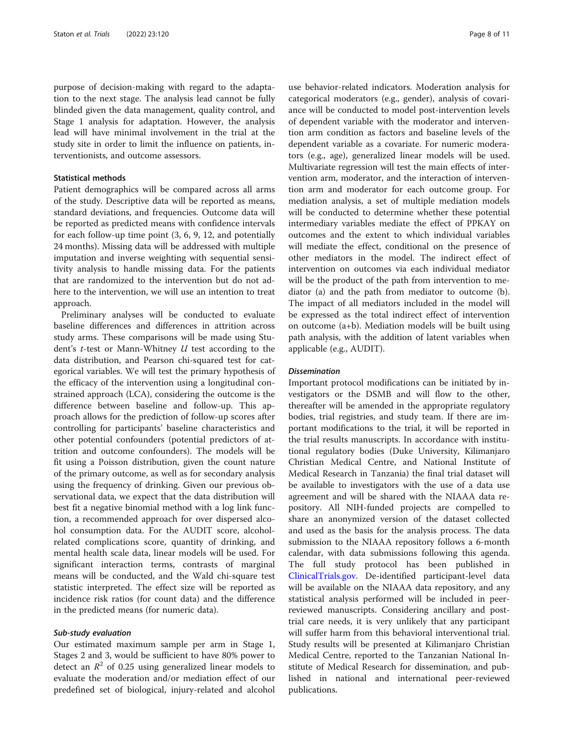purpose of decision-making with regard to the adaptation to the next stage. The analysis lead cannot be fully blinded given the data management, quality control, and Stage 1 analysis for adaptation. However, the analysis lead will have minimal involvement in the trial at the study site in order to limit the influence on patients, interventionists, and outcome assessors.

# Statistical methods

Patient demographics will be compared across all arms of the study. Descriptive data will be reported as means, standard deviations, and frequencies. Outcome data will be reported as predicted means with confidence intervals for each follow-up time point (3, 6, 9, 12, and potentially 24 months). Missing data will be addressed with multiple imputation and inverse weighting with sequential sensitivity analysis to handle missing data. For the patients that are randomized to the intervention but do not adhere to the intervention, we will use an intention to treat approach.

Preliminary analyses will be conducted to evaluate baseline differences and differences in attrition across study arms. These comparisons will be made using Student's t-test or Mann-Whitney U test according to the data distribution, and Pearson chi-squared test for categorical variables. We will test the primary hypothesis of the efficacy of the intervention using a longitudinal constrained approach (LCA), considering the outcome is the difference between baseline and follow-up. This approach allows for the prediction of follow-up scores after controlling for participants' baseline characteristics and other potential confounders (potential predictors of attrition and outcome confounders). The models will be fit using a Poisson distribution, given the count nature of the primary outcome, as well as for secondary analysis using the frequency of drinking. Given our previous observational data, we expect that the data distribution will best fit a negative binomial method with a log link function, a recommended approach for over dispersed alcohol consumption data. For the AUDIT score, alcoholrelated complications score, quantity of drinking, and mental health scale data, linear models will be used. For significant interaction terms, contrasts of marginal means will be conducted, and the Wald chi-square test statistic interpreted. The effect size will be reported as incidence risk ratios (for count data) and the difference in the predicted means (for numeric data).

# Sub-study evaluation

Our estimated maximum sample per arm in Stage 1, Stages 2 and 3, would be sufficient to have 80% power to detect an  $R^2$  of 0.25 using generalized linear models to evaluate the moderation and/or mediation effect of our predefined set of biological, injury-related and alcohol

use behavior-related indicators. Moderation analysis for categorical moderators (e.g., gender), analysis of covariance will be conducted to model post-intervention levels of dependent variable with the moderator and intervention arm condition as factors and baseline levels of the dependent variable as a covariate. For numeric moderators (e.g., age), generalized linear models will be used. Multivariate regression will test the main effects of intervention arm, moderator, and the interaction of intervention arm and moderator for each outcome group. For mediation analysis, a set of multiple mediation models will be conducted to determine whether these potential intermediary variables mediate the effect of PPKAY on outcomes and the extent to which individual variables will mediate the effect, conditional on the presence of other mediators in the model. The indirect effect of intervention on outcomes via each individual mediator will be the product of the path from intervention to mediator (a) and the path from mediator to outcome (b). The impact of all mediators included in the model will be expressed as the total indirect effect of intervention on outcome (a+b). Mediation models will be built using path analysis, with the addition of latent variables when applicable (e.g., AUDIT).

#### **Dissemination**

Important protocol modifications can be initiated by investigators or the DSMB and will flow to the other, thereafter will be amended in the appropriate regulatory bodies, trial registries, and study team. If there are important modifications to the trial, it will be reported in the trial results manuscripts. In accordance with institutional regulatory bodies (Duke University, Kilimanjaro Christian Medical Centre, and National Institute of Medical Research in Tanzania) the final trial dataset will be available to investigators with the use of a data use agreement and will be shared with the NIAAA data repository. All NIH-funded projects are compelled to share an anonymized version of the dataset collected and used as the basis for the analysis process. The data submission to the NIAAA repository follows a 6-month calendar, with data submissions following this agenda. The full study protocol has been published in [ClinicalTrials.gov.](http://clinicaltrials.gov) De-identified participant-level data will be available on the NIAAA data repository, and any statistical analysis performed will be included in peerreviewed manuscripts. Considering ancillary and posttrial care needs, it is very unlikely that any participant will suffer harm from this behavioral interventional trial. Study results will be presented at Kilimanjaro Christian Medical Centre, reported to the Tanzanian National Institute of Medical Research for dissemination, and published in national and international peer-reviewed publications.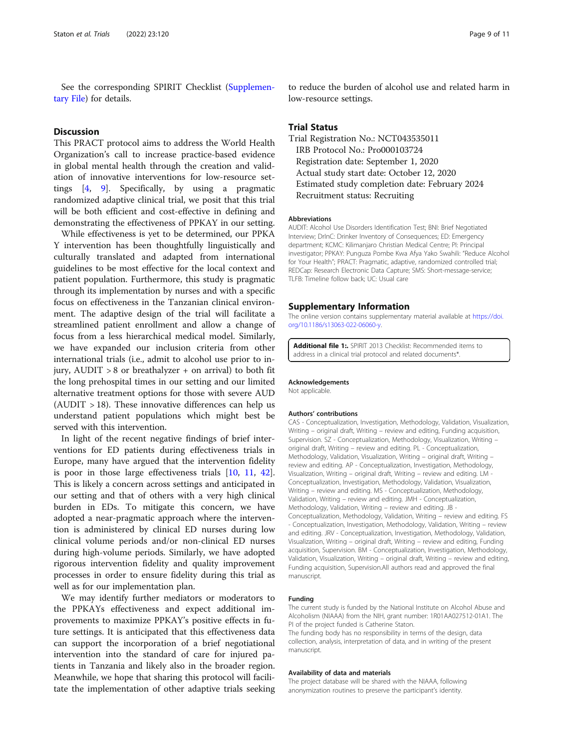See the corresponding SPIRIT Checklist (Supplementary File) for details.

# **Discussion**

This PRACT protocol aims to address the World Health Organization's call to increase practice-based evidence in global mental health through the creation and validation of innovative interventions for low-resource settings [\[4](#page-9-0), [9](#page-9-0)]. Specifically, by using a pragmatic randomized adaptive clinical trial, we posit that this trial will be both efficient and cost-effective in defining and demonstrating the effectiveness of PPKAY in our setting.

While effectiveness is yet to be determined, our PPKA Y intervention has been thoughtfully linguistically and culturally translated and adapted from international guidelines to be most effective for the local context and patient population. Furthermore, this study is pragmatic through its implementation by nurses and with a specific focus on effectiveness in the Tanzanian clinical environment. The adaptive design of the trial will facilitate a streamlined patient enrollment and allow a change of focus from a less hierarchical medical model. Similarly, we have expanded our inclusion criteria from other international trials (i.e., admit to alcohol use prior to injury,  $AUDIT > 8$  or breathalyzer + on arrival) to both fit the long prehospital times in our setting and our limited alternative treatment options for those with severe AUD  $(AUDIT > 18)$ . These innovative differences can help us understand patient populations which might best be served with this intervention.

In light of the recent negative findings of brief interventions for ED patients during effectiveness trials in Europe, many have argued that the intervention fidelity is poor in those large effectiveness trials [\[10](#page-9-0), [11](#page-9-0), [42](#page-10-0)]. This is likely a concern across settings and anticipated in our setting and that of others with a very high clinical burden in EDs. To mitigate this concern, we have adopted a near-pragmatic approach where the intervention is administered by clinical ED nurses during low clinical volume periods and/or non-clinical ED nurses during high-volume periods. Similarly, we have adopted rigorous intervention fidelity and quality improvement processes in order to ensure fidelity during this trial as well as for our implementation plan.

We may identify further mediators or moderators to the PPKAYs effectiveness and expect additional improvements to maximize PPKAY's positive effects in future settings. It is anticipated that this effectiveness data can support the incorporation of a brief negotiational intervention into the standard of care for injured patients in Tanzania and likely also in the broader region. Meanwhile, we hope that sharing this protocol will facilitate the implementation of other adaptive trials seeking

to reduce the burden of alcohol use and related harm in low-resource settings.

# Trial Status

Trial Registration No.: NCT043535011 IRB Protocol No.: Pro000103724 Registration date: September 1, 2020 Actual study start date: October 12, 2020 Estimated study completion date: February 2024 Recruitment status: Recruiting

#### Abbreviations

AUDIT: Alcohol Use Disorders Identification Test; BNI: Brief Negotiated Interview; DrInC: Drinker Inventory of Consequences; ED: Emergency department; KCMC: Kilimanjaro Christian Medical Centre; PI: Principal investigator; PPKAY: Punguza Pombe Kwa Afya Yako Swahili: "Reduce Alcohol for Your Health"; PRACT: Pragmatic, adaptive, randomized controlled trial; REDCap: Research Electronic Data Capture; SMS: Short-message-service; TLFB: Timeline follow back; UC: Usual care

#### Supplementary Information

The online version contains supplementary material available at [https://doi.](https://doi.org/10.1186/s13063-022-06060-y) [org/10.1186/s13063-022-06060-y](https://doi.org/10.1186/s13063-022-06060-y).

Additional file 1: SPIRIT 2013 Checklist: Recommended items to address in a clinical trial protocol and related documents\*

#### Acknowledgements

Not applicable.

#### Authors' contributions

CAS - Conceptualization, Investigation, Methodology, Validation, Visualization, Writing – original draft, Writing – review and editing, Funding acquisition, Supervision. SZ - Conceptualization, Methodology, Visualization, Writing – original draft, Writing – review and editing. PL - Conceptualization, Methodology, Validation, Visualization, Writing – original draft, Writing – review and editing. AP - Conceptualization, Investigation, Methodology, Visualization, Writing – original draft, Writing – review and editing. LM - Conceptualization, Investigation, Methodology, Validation, Visualization, Writing – review and editing. MS - Conceptualization, Methodology, Validation, Writing – review and editing. JMH - Conceptualization, Methodology, Validation, Writing – review and editing. JB - Conceptualization, Methodology, Validation, Writing – review and editing. FS - Conceptualization, Investigation, Methodology, Validation, Writing – review and editing. JRV - Conceptualization, Investigation, Methodology, Validation, Visualization, Writing – original draft, Writing – review and editing, Funding acquisition, Supervision. BM - Conceptualization, Investigation, Methodology, Validation, Visualization, Writing – original draft, Writing – review and editing, Funding acquisition, Supervision.All authors read and approved the final manuscript.

#### Funding

The current study is funded by the National Institute on Alcohol Abuse and Alcoholism (NIAAA) from the NIH, grant number: 1R01AA027512-01A1. The PI of the project funded is Catherine Staton.

The funding body has no responsibility in terms of the design, data collection, analysis, interpretation of data, and in writing of the present manuscript.

### Availability of data and materials

The project database will be shared with the NIAAA, following anonymization routines to preserve the participant's identity.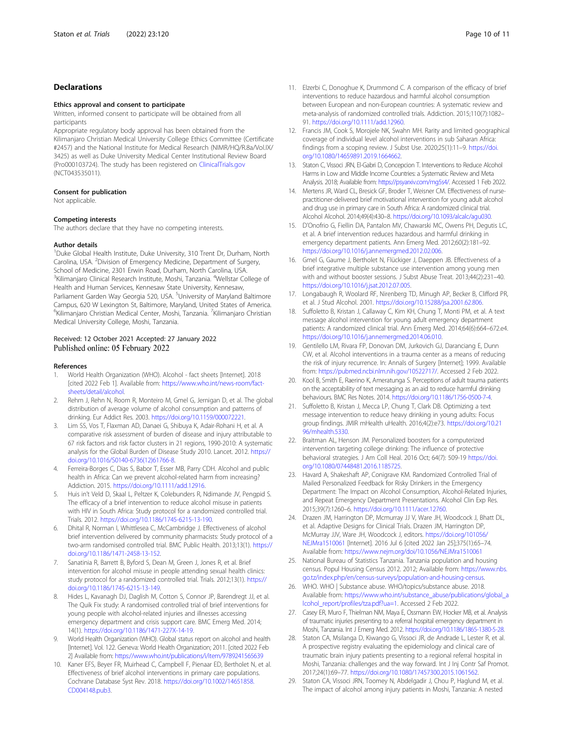### <span id="page-9-0"></span>Declarations

#### Ethics approval and consent to participate

Written, informed consent to participate will be obtained from all participants

Appropriate regulatory body approval has been obtained from the Kilimanjaro Christian Medical University College Ethics Committee (Certificate #2457) and the National Institute for Medical Research (NIMR/HQ/R.8a/Vol.IX/ 3425) as well as Duke University Medical Center Institutional Review Board (Pro000103724). The study has been registered on [ClinicalTrials.gov](http://clinicaltrials.gov) (NCT043535011).

#### Consent for publication

Not applicable.

#### Competing interests

The authors declare that they have no competing interests.

#### Author details

<sup>1</sup>Duke Global Health Institute, Duke University, 310 Trent Dr, Durham, North Carolina, USA. <sup>2</sup> Division of Emergency Medicine, Department of Surgery, School of Medicine, 2301 Erwin Road, Durham, North Carolina, USA. <sup>3</sup>Kilimanjaro Clinical Research Institute, Moshi, Tanzania. <sup>4</sup>Wellstar College of Health and Human Services, Kennesaw State University, Kennesaw, Parliament Garden Way Georgia 520, USA. <sup>5</sup>University of Maryland Baltimore Campus, 620 W Lexington St, Baltimore, Maryland, United States of America. <sup>6</sup>Kilimanjaro Christian Medical Center, Moshi, Tanzania. <sup>7</sup>Kilimanjaro Christian Medical University College, Moshi, Tanzania.

# Received: 12 October 2021 Accepted: 27 January 2022<br>Published online: 05 February 2022

#### References

- 1. World Health Organization (WHO). Alcohol fact sheets [Internet]. 2018 [cited 2022 Feb 1]. Available from: [https://www.who.int/news-room/fact](https://www.who.int/news-room/fact-sheets/detail/alcohol)[sheets/detail/alcohol.](https://www.who.int/news-room/fact-sheets/detail/alcohol)
- 2. Rehm J, Rehn N, Room R, Monteiro M, Gmel G, Jernigan D, et al. The global distribution of average volume of alcohol consumption and patterns of drinking. Eur Addict Res. 2003. <https://doi.org/10.1159/000072221>.
- 3. Lim SS, Vos T, Flaxman AD, Danaei G, Shibuya K, Adair-Rohani H, et al. A comparative risk assessment of burden of disease and injury attributable to 67 risk factors and risk factor clusters in 21 regions, 1990-2010: A systematic analysis for the Global Burden of Disease Study 2010. Lancet. 2012. [https://](https://doi.org/10.1016/S0140-6736(12)61766-8) [doi.org/10.1016/S0140-6736\(12\)61766-8](https://doi.org/10.1016/S0140-6736(12)61766-8).
- 4. Ferreira-Borges C, Dias S, Babor T, Esser MB, Parry CDH. Alcohol and public health in Africa: Can we prevent alcohol-related harm from increasing? Addiction. 2015. <https://doi.org/10.1111/add.12916>.
- 5. Huis in't Veld D, Skaal L, Peltzer K, Colebunders R, Ndimande JV, Pengpid S. The efficacy of a brief intervention to reduce alcohol misuse in patients with HIV in South Africa: Study protocol for a randomized controlled trial. Trials. 2012. [https://doi.org/10.1186/1745-6215-13-190.](https://doi.org/10.1186/1745-6215-13-190)
- 6. Dhital R, Norman I, Whittlesea C, McCambridge J. Effectiveness of alcohol brief intervention delivered by community pharmacists: Study protocol of a two-arm randomised controlled trial. BMC Public Health. 2013;13(1). [https://](https://doi.org/10.1186/1471-2458-13-152) [doi.org/10.1186/1471-2458-13-152.](https://doi.org/10.1186/1471-2458-13-152)
- Sanatinia R, Barrett B, Byford S, Dean M, Green J, Jones R, et al. Brief intervention for alcohol misuse in people attending sexual health clinics: study protocol for a randomized controlled trial. Trials. 2012;13(1). [https://](https://doi.org/10.1186/1745-6215-13-149) [doi.org/10.1186/1745-6215-13-149.](https://doi.org/10.1186/1745-6215-13-149)
- Hides L, Kavanagh DJ, Daglish M, Cotton S, Connor JP, Barendregt JJ, et al. The Quik Fix study: A randomised controlled trial of brief interventions for young people with alcohol-related injuries and illnesses accessing emergency department and crisis support care. BMC Emerg Med. 2014; 14(1). [https://doi.org/10.1186/1471-227X-14-19.](https://doi.org/10.1186/1471-227X-14-19)
- 9. World Health Organization (WHO). Global status report on alcohol and health [Internet]. Vol. 122. Geneva: World Health Organization; 2011. [cited 2022 Feb 2] Available from: <https://www.who.int/publications/i/item/9789241565639>
- 10. Kaner EFS, Beyer FR, Muirhead C, Campbell F, Pienaar ED, Bertholet N, et al. Effectiveness of brief alcohol interventions in primary care populations. Cochrane Database Syst Rev. 2018. [https://doi.org/10.1002/14651858.](https://doi.org/10.1002/14651858.CD004148.pub3) [CD004148.pub3.](https://doi.org/10.1002/14651858.CD004148.pub3)
- 11. Elzerbi C, Donoghue K, Drummond C. A comparison of the efficacy of brief interventions to reduce hazardous and harmful alcohol consumption between European and non-European countries: A systematic review and meta-analysis of randomized controlled trials. Addiction. 2015;110(7):1082– 91. <https://doi.org/10.1111/add.12960>.
- 12. Francis JM, Cook S, Morojele NK, Swahn MH. Rarity and limited geographical coverage of individual level alcohol interventions in sub Saharan Africa: findings from a scoping review. J Subst Use. 2020;25(1):11-9. [https://doi.](https://doi.org/10.1080/14659891.2019.1664662) [org/10.1080/14659891.2019.1664662](https://doi.org/10.1080/14659891.2019.1664662).
- 13. Staton C, Vissoci JRN, El-Gabri D, Concepcion T. Interventions to Reduce Alcohol Harms in Low and Middle Income Countries: a Systematic Review and Meta Analysis. 2018; Available from: <https://psyarxiv.com/mg5s4/>. Accessed 1 Feb 2022.
- 14. Mertens JR, Ward CL, Bresick GF, Broder T, Weisner CM. Effectiveness of nursepractitioner-delivered brief motivational intervention for young adult alcohol and drug use in primary care in South Africa: A randomized clinical trial. Alcohol Alcohol. 2014;49(4):430–8. <https://doi.org/10.1093/alcalc/agu030>.
- 15. D'Onofrio G, Fiellin DA, Pantalon MV, Chawarski MC, Owens PH, Degutis LC, et al. A brief intervention reduces hazardous and harmful drinking in emergency department patients. Ann Emerg Med. 2012;60(2):181–92. <https://doi.org/10.1016/j.annemergmed.2012.02.006>.
- 16. Gmel G, Gaume J, Bertholet N, Flückiger J, Daeppen JB. Effectiveness of a brief integrative multiple substance use intervention among young men with and without booster sessions. J Subst Abuse Treat. 2013;44(2):231–40. <https://doi.org/10.1016/j.jsat.2012.07.005>.
- 17. Longabaugh R, Woolard RF, Nirenberg TD, Minugh AP, Becker B, Clifford PR, et al. J Stud Alcohol. 2001. <https://doi.org/10.15288/jsa.2001.62.806>.
- 18. Suffoletto B, Kristan J, Callaway C, Kim KH, Chung T, Monti PM, et al. A text message alcohol intervention for young adult emergency department patients: A randomized clinical trial. Ann Emerg Med. 2014;64(6):664–672.e4. <https://doi.org/10.1016/j.annemergmed.2014.06.010>.
- 19. Gentilello LM, Rivara FP, Donovan DM, Jurkovich GJ, Daranciang E, Dunn CW, et al. Alcohol interventions in a trauma center as a means of reducing the risk of injury recurrence. In: Annals of Surgery [Internet]; 1999. Available from: [https://pubmed.ncbi.nlm.nih.gov/10522717/.](https://pubmed.ncbi.nlm.nih.gov/10522717/) Accessed 2 Feb 2022.
- 20. Kool B, Smith E, Raerino K, Ameratunga S. Perceptions of adult trauma patients on the acceptability of text messaging as an aid to reduce harmful drinking behaviours. BMC Res Notes. 2014. <https://doi.org/10.1186/1756-0500-7-4>.
- 21. Suffoletto B, Kristan J, Mecca LP, Chung T, Clark DB. Optimizing a text message intervention to reduce heavy drinking in young adults: Focus group findings. JMIR mHealth uHealth. 2016;4(2):e73. [https://doi.org/10.21](https://doi.org/10.2196/mhealth.5330) [96/mhealth.5330](https://doi.org/10.2196/mhealth.5330).
- 22. Braitman AL, Henson JM. Personalized boosters for a computerized intervention targeting college drinking: The influence of protective behavioral strategies. J Am Coll Heal. 2016 Oct; 64(7): 509-19 [https://doi.](https://doi.org/10.1080/07448481.2016.1185725) [org/10.1080/07448481.2016.1185725](https://doi.org/10.1080/07448481.2016.1185725).
- 23. Havard A, Shakeshaft AP, Conigrave KM. Randomized Controlled Trial of Mailed Personalized Feedback for Risky Drinkers in the Emergency Department: The Impact on Alcohol Consumption, Alcohol-Related Injuries, and Repeat Emergency Department Presentations. Alcohol Clin Exp Res. 2015;39(7):1260–6. [https://doi.org/10.1111/acer.12760.](https://doi.org/10.1111/acer.12760)
- 24. Drazen JM, Harrington DP, Mcmurray JJ V, Ware JH, Woodcock J, Bhatt DL, et al. Adaptive Designs for Clinical Trials. Drazen JM, Harrington DP, McMurray JJV, Ware JH, Woodcock J, editors. [https://doi.org/101056/](https://doi.org/101056/NEJMra1510061) [NEJMra1510061](https://doi.org/101056/NEJMra1510061) [Internet]. 2016 Jul 6 [cited 2022 Jan 25];375(1):65–74. Available from: <https://www.nejm.org/doi/10.1056/NEJMra1510061>
- 25. National Bureau of Statistics Tanzania. Tanzania population and housing census. Popul Housing Census 2012. 2012; Available from: [https://www.nbs.](https://www.nbs.go.tz/index.php/en/census-surveys/population-and-housing-census) [go.tz/index.php/en/census-surveys/population-and-housing-census](https://www.nbs.go.tz/index.php/en/census-surveys/population-and-housing-census).
- 26. WHO. WHO | Substance abuse. WHO/topics/substance abuse. 2018. Available from: [https://www.who.int/substance\\_abuse/publications/global\\_a](https://www.who.int/substance_abuse/publications/global_alcohol_report/profiles/tza.pdf?ua=1) [lcohol\\_report/profiles/tza.pdf?ua=1.](https://www.who.int/substance_abuse/publications/global_alcohol_report/profiles/tza.pdf?ua=1) Accessed 2 Feb 2022.
- 27. Casey ER, Muro F, Thielman NM, Maya E, Ossmann EW, Hocker MB, et al. Analysis of traumatic injuries presenting to a referral hospital emergency department in Moshi, Tanzania. Int J Emerg Med. 2012. [https://doi.org/10.1186/1865-1380-5-28.](https://doi.org/10.1186/1865-1380-5-28)
- 28. Staton CA, Msilanga D, Kiwango G, Vissoci JR, de Andrade L, Lester R, et al. A prospective registry evaluating the epidemiology and clinical care of traumatic brain injury patients presenting to a regional referral hospital in Moshi, Tanzania: challenges and the way forward. Int J Inj Contr Saf Promot. 2017;24(1):69–77. [https://doi.org/10.1080/17457300.2015.1061562.](https://doi.org/10.1080/17457300.2015.1061562)
- 29. Staton CA, Vissoci JRN, Toomey N, Abdelgadir J, Chou P, Haglund M, et al. The impact of alcohol among injury patients in Moshi, Tanzania: A nested